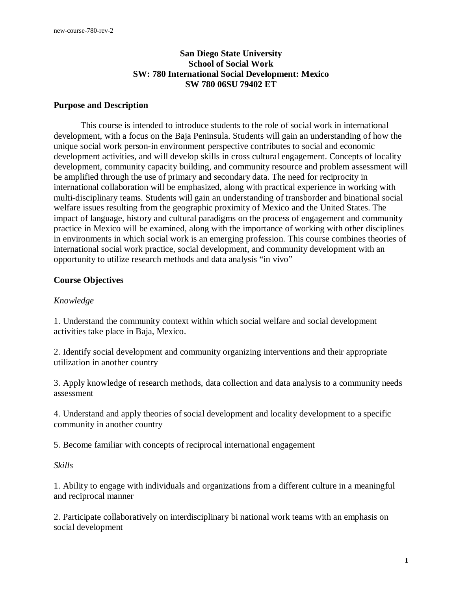## **San Diego State University School of Social Work SW: 780 International Social Development: Mexico SW 780 06SU 79402 ET**

#### **Purpose and Description**

 This course is intended to introduce students to the role of social work in international development, with a focus on the Baja Peninsula. Students will gain an understanding of how the unique social work person-in environment perspective contributes to social and economic development activities, and will develop skills in cross cultural engagement. Concepts of locality development, community capacity building, and community resource and problem assessment will be amplified through the use of primary and secondary data. The need for reciprocity in international collaboration will be emphasized, along with practical experience in working with multi-disciplinary teams. Students will gain an understanding of transborder and binational social welfare issues resulting from the geographic proximity of Mexico and the United States. The impact of language, history and cultural paradigms on the process of engagement and community practice in Mexico will be examined, along with the importance of working with other disciplines in environments in which social work is an emerging profession. This course combines theories of international social work practice, social development, and community development with an opportunity to utilize research methods and data analysis "in vivo"

#### **Course Objectives**

#### *Knowledge*

1. Understand the community context within which social welfare and social development activities take place in Baja, Mexico.

2. Identify social development and community organizing interventions and their appropriate utilization in another country

3. Apply knowledge of research methods, data collection and data analysis to a community needs assessment

4. Understand and apply theories of social development and locality development to a specific community in another country

5. Become familiar with concepts of reciprocal international engagement

#### *Skills*

1. Ability to engage with individuals and organizations from a different culture in a meaningful and reciprocal manner

2. Participate collaboratively on interdisciplinary bi national work teams with an emphasis on social development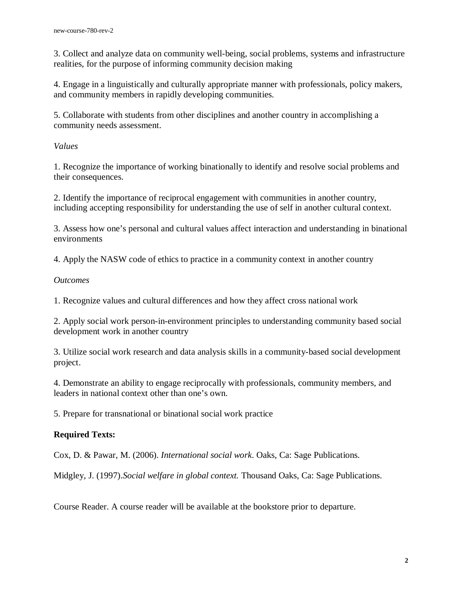3. Collect and analyze data on community well-being, social problems, systems and infrastructure realities, for the purpose of informing community decision making

4. Engage in a linguistically and culturally appropriate manner with professionals, policy makers, and community members in rapidly developing communities.

5. Collaborate with students from other disciplines and another country in accomplishing a community needs assessment.

## *Values*

1. Recognize the importance of working binationally to identify and resolve social problems and their consequences.

2. Identify the importance of reciprocal engagement with communities in another country, including accepting responsibility for understanding the use of self in another cultural context.

3. Assess how one's personal and cultural values affect interaction and understanding in binational environments

4. Apply the NASW code of ethics to practice in a community context in another country

## *Outcomes*

1. Recognize values and cultural differences and how they affect cross national work

2. Apply social work person-in-environment principles to understanding community based social development work in another country

3. Utilize social work research and data analysis skills in a community-based social development project.

4. Demonstrate an ability to engage reciprocally with professionals, community members, and leaders in national context other than one's own.

5. Prepare for transnational or binational social work practice

# **Required Texts:**

Cox, D. & Pawar, M. (2006). *International social work*. Oaks, Ca: Sage Publications.

Midgley, J. (1997).*Social welfare in global context.* Thousand Oaks, Ca: Sage Publications.

Course Reader. A course reader will be available at the bookstore prior to departure.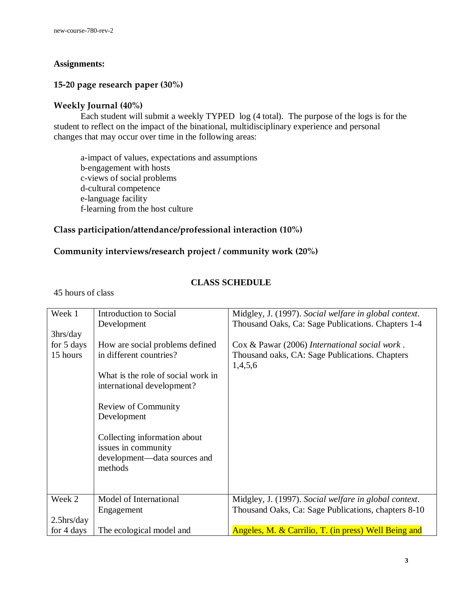## **Assignments:**

# **15-20 page research paper (30%)**

# **Weekly Journal (40%)**

 Each student will submit a weekly TYPED log (4 total). The purpose of the logs is for the student to reflect on the impact of the binational, multidisciplinary experience and personal changes that may occur over time in the following areas:

a-impact of values, expectations and assumptions b-engagement with hosts c-views of social problems d-cultural competence e-language facility f-learning from the host culture

# **Class participation/attendance/professional interaction (10%)**

# **Community interviews/research project / community work (20%)**

## **CLASS SCHEDULE**

45 hours of class

| Week 1                | <b>Introduction to Social</b>                                    | Midgley, J. (1997). Social welfare in global context.     |
|-----------------------|------------------------------------------------------------------|-----------------------------------------------------------|
|                       | Development                                                      | Thousand Oaks, Ca: Sage Publications. Chapters 1-4        |
| 3 <sub>hrs</sub> /day |                                                                  |                                                           |
| for 5 days            | How are social problems defined                                  | Cox & Pawar (2006) International social work.             |
| 15 hours              | in different countries?                                          | Thousand oaks, CA: Sage Publications. Chapters<br>1,4,5,6 |
|                       | What is the role of social work in<br>international development? |                                                           |
|                       | Review of Community<br>Development                               |                                                           |
|                       | Collecting information about<br>issues in community              |                                                           |
|                       | development—data sources and                                     |                                                           |
|                       | methods                                                          |                                                           |
|                       |                                                                  |                                                           |
|                       |                                                                  |                                                           |
| Week 2                | Model of International                                           | Midgley, J. (1997). Social welfare in global context.     |
|                       | Engagement                                                       | Thousand Oaks, Ca: Sage Publications, chapters 8-10       |
| $2.5$ hrs/day         |                                                                  |                                                           |
| for 4 days            | The ecological model and                                         | Angeles, M. & Carrilio, T. (in press) Well Being and      |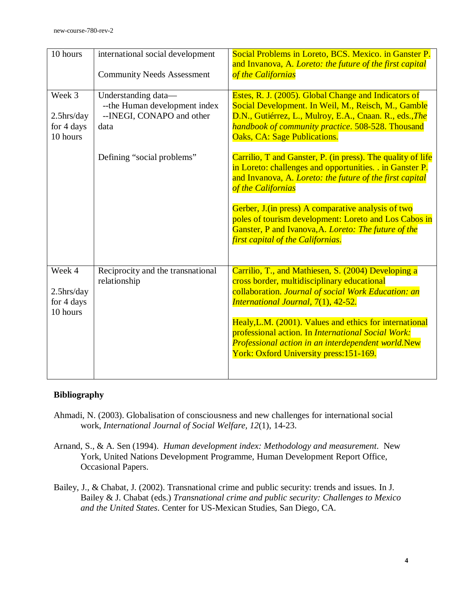| 10 hours                                          | international social development<br><b>Community Needs Assessment</b>                      | Social Problems in Loreto, BCS. Mexico. in Ganster P.<br>and Invanova, A. Loreto: the future of the first capital<br>of the Californias                                                                                                                            |
|---------------------------------------------------|--------------------------------------------------------------------------------------------|--------------------------------------------------------------------------------------------------------------------------------------------------------------------------------------------------------------------------------------------------------------------|
| Week 3<br>$2.5$ hrs/day<br>for 4 days<br>10 hours | Understanding data-<br>-- the Human development index<br>--INEGI, CONAPO and other<br>data | Estes, R. J. (2005). Global Change and Indicators of<br>Social Development. In Weil, M., Reisch, M., Gamble<br>D.N., Gutiérrez, L., Mulroy, E.A., Cnaan. R., eds., The<br>handbook of community practice. 508-528. Thousand<br><b>Oaks, CA: Sage Publications.</b> |
|                                                   | Defining "social problems"                                                                 | Carrilio, T and Ganster, P. (in press). The quality of life<br>in Loreto: challenges and opportunities. . in Ganster P.<br>and Invanova, A. Loreto: the future of the first capital<br>of the Californias                                                          |
|                                                   |                                                                                            | Gerber, J. (in press) A comparative analysis of two<br>poles of tourism development: Loreto and Los Cabos in<br>Ganster, P and Ivanova, A. Loreto: The future of the<br>first capital of the Californias.                                                          |
| Week 4<br>$2.5$ hrs/day<br>for 4 days<br>10 hours | Reciprocity and the transnational<br>relationship                                          | Carrilio, T., and Mathiesen, S. (2004) Developing a<br>cross border, multidisciplinary educational<br>collaboration. Journal of social Work Education: an<br>International Journal, 7(1), 42-52.                                                                   |
|                                                   |                                                                                            | Healy, L.M. (2001). Values and ethics for international<br>professional action. In International Social Work:<br>Professional action in an interdependent world.New<br>York: Oxford University press: 151-169.                                                     |

#### **Bibliography**

- Ahmadi, N. (2003). Globalisation of consciousness and new challenges for international social work, *International Journal of Social Welfare, 12*(1), 14-23.
- Arnand, S., & A. Sen (1994). *Human development index: Methodology and measurement*. New York, United Nations Development Programme, Human Development Report Office, Occasional Papers.
- Bailey, J., & Chabat, J. (2002). Transnational crime and public security: trends and issues. In J. Bailey & J. Chabat (eds.) *Transnational crime and public security: Challenges to Mexico and the United States*. Center for US-Mexican Studies, San Diego, CA.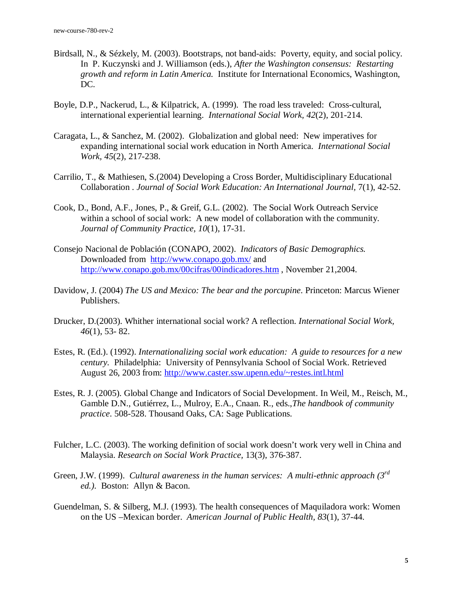- Birdsall, N., & Sézkely, M. (2003). Bootstraps, not band-aids: Poverty, equity, and social policy. In P. Kuczynski and J. Williamson (eds.), *After the Washington consensus: Restarting growth and reform in Latin America.* Institute for International Economics, Washington, DC.
- Boyle, D.P., Nackerud, L., & Kilpatrick, A. (1999). The road less traveled: Cross-cultural, international experiential learning. *International Social Work, 42*(2), 201-214.
- Caragata, L., & Sanchez, M. (2002). Globalization and global need: New imperatives for expanding international social work education in North America. *International Social Work, 45*(2), 217-238.
- Carrilio, T., & Mathiesen, S.(2004) Developing a Cross Border, Multidisciplinary Educational Collaboration . *Journal of Social Work Education: An International Journal,* 7(1), 42-52.
- Cook, D., Bond, A.F., Jones, P., & Greif, G.L. (2002). The Social Work Outreach Service within a school of social work: A new model of collaboration with the community. *Journal of Community Practice, 10*(1), 17-31.
- Consejo Nacional de Población (CONAPO, 2002). *Indicators of Basic Demographics.*  Downloaded from http://www.conapo.gob.mx/ and http://www.conapo.gob.mx/00cifras/00indicadores.htm , November 21,2004.
- Davidow, J. (2004) *The US and Mexico: The bear and the porcupine*. Princeton: Marcus Wiener Publishers.
- Drucker, D.(2003). Whither international social work? A reflection. *International Social Work, 46*(1), 53- 82.
- Estes, R. (Ed.). (1992). *Internationalizing social work education: A guide to resources for a new century.* Philadelphia: University of Pennsylvania School of Social Work. Retrieved August 26, 2003 from: http://www.caster.ssw.upenn.edu/~restes.intl.html
- Estes, R. J. (2005). Global Change and Indicators of Social Development. In Weil, M., Reisch, M., Gamble D.N., Gutiérrez, L., Mulroy, E.A., Cnaan. R., eds.,*The handbook of community practice*. 508-528. Thousand Oaks, CA: Sage Publications.
- Fulcher, L.C. (2003). The working definition of social work doesn't work very well in China and Malaysia. *Research on Social Work Practice,* 13(3), 376-387.
- Green, J.W. (1999). *Cultural awareness in the human services: A multi-ethnic approach* (3<sup>*rd*</sup> ed.). Boston: Allyn & Bacon.
- Guendelman, S. & Silberg, M.J. (1993). The health consequences of Maquiladora work: Women on the US –Mexican border. *American Journal of Public Health, 83*(1), 37-44.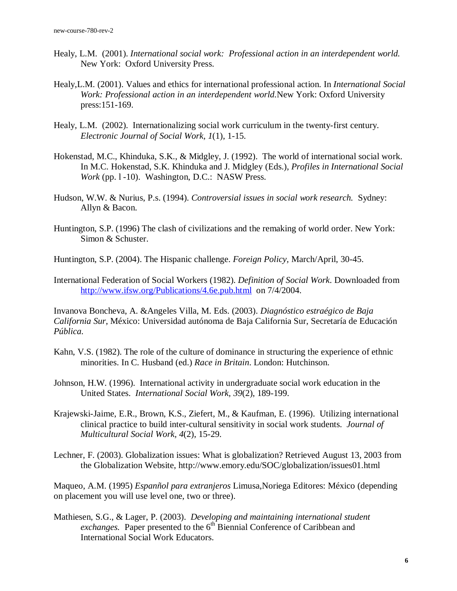- Healy, L.M. (2001). *International social work: Professional action in an interdependent world.* New York: Oxford University Press.
- Healy,L.M. (2001). Values and ethics for international professional action. In *International Social Work: Professional action in an interdependent world.*New York: Oxford University press:151-169.
- Healy, L.M. (2002). Internationalizing social work curriculum in the twenty-first century. *Electronic Journal of Social Work, 1*(1), 1-15.
- Hokenstad, M.C., Khinduka, S.K., & Midgley, J. (1992). The world of international social work. In M.C. Hokenstad, S.K. Khinduka and J. Midgley (Eds.), *Profiles in International Social Work* (pp. 1-10). Washington, D.C.: NASW Press.
- Hudson, W.W. & Nurius, P.s. (1994). *Controversial issues in social work research.* Sydney: Allyn & Bacon.
- Huntington, S.P. (1996) The clash of civilizations and the remaking of world order. New York: Simon & Schuster.

Huntington, S.P. (2004). The Hispanic challenge. *Foreign Policy,* March/April, 30-45.

International Federation of Social Workers (1982). *Definition of Social Work*. Downloaded from http://www.ifsw.org/Publications/4.6e.pub.html on 7/4/2004.

Invanova Boncheva, A. &Angeles Villa, M. Eds. (2003). *Diagnóstico estraégico de Baja California Sur*, México: Universidad autónoma de Baja California Sur, Secretaría de Educación *Pública.* 

- Kahn, V.S. (1982). The role of the culture of dominance in structuring the experience of ethnic minorities. In C. Husband (ed.) *Race in Britain*. London: Hutchinson.
- Johnson, H.W. (1996). International activity in undergraduate social work education in the United States. *International Social Work, 39*(2), 189-199.
- Krajewski-Jaime, E.R., Brown, K.S., Ziefert, M., & Kaufman, E. (1996). Utilizing international clinical practice to build inter-cultural sensitivity in social work students. *Journal of Multicultural Social Work, 4*(2), 15-29.
- Lechner, F. (2003). Globalization issues: What is globalization? Retrieved August 13, 2003 from the Globalization Website, http://www.emory.edu/SOC/globalization/issues01.html

Maqueo, A.M. (1995) *Espanñol para extranjeros* Limusa,Noriega Editores: México (depending on placement you will use level one, two or three).

Mathiesen, S.G., & Lager, P. (2003). *Developing and maintaining international student exchanges.* Paper presented to the 6<sup>th</sup> Biennial Conference of Caribbean and International Social Work Educators.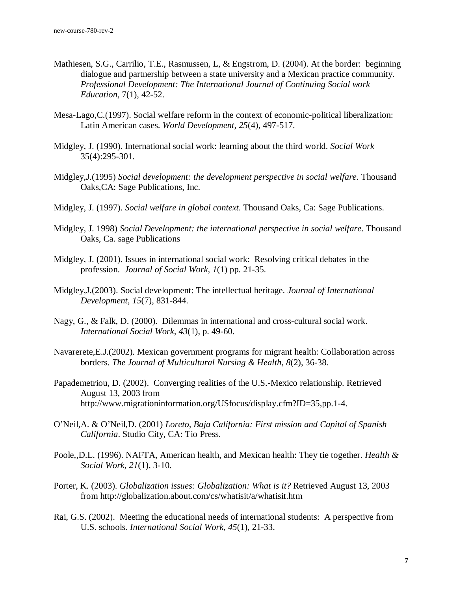- Mathiesen, S.G., Carrilio, T.E., Rasmussen, L, & Engstrom, D. (2004). At the border: beginning dialogue and partnership between a state university and a Mexican practice community. *Professional Development: The International Journal of Continuing Social work Education,* 7(1), 42-52.
- Mesa-Lago,C.(1997). Social welfare reform in the context of economic-political liberalization: Latin American cases. *World Development, 25*(4), 497-517.
- Midgley, J. (1990). International social work: learning about the third world. *Social Work* 35(4):295-301.
- Midgley,J.(1995) *Social development: the development perspective in social welfare.* Thousand Oaks,CA: Sage Publications, Inc.
- Midgley, J. (1997). *Social welfare in global context*. Thousand Oaks, Ca: Sage Publications.
- Midgley, J. 1998) *Social Development: the international perspective in social welfare*. Thousand Oaks, Ca. sage Publications
- Midgley, J. (2001). Issues in international social work: Resolving critical debates in the profession. *Journal of Social Work, 1*(1) pp. 21-35.
- Midgley,J.(2003). Social development: The intellectual heritage. *Journal of International Development, 15*(7), 831-844.
- Nagy, G., & Falk, D. (2000). Dilemmas in international and cross-cultural social work. *International Social Work, 43*(1), p. 49-60.
- Navarerete,E.J.(2002). Mexican government programs for migrant health: Collaboration across borders. *The Journal of Multicultural Nursing & Health*, *8*(2), 36-38.
- Papademetriou, D. (2002). Converging realities of the U.S.-Mexico relationship. Retrieved August 13, 2003 from http://www.migrationinformation.org/USfocus/display.cfm?ID=35,pp.1-4.
- O'Neil,A. & O'Neil,D. (2001) *Loreto, Baja California: First mission and Capital of Spanish California*. Studio City, CA: Tio Press.
- Poole,,D.L. (1996). NAFTA, American health, and Mexican health: They tie together. *Health & Social Work*, *21*(1), 3-10.
- Porter, K. (2003). *Globalization issues: Globalization: What is it?* Retrieved August 13, 2003 from http://globalization.about.com/cs/whatisit/a/whatisit.htm
- Rai, G.S. (2002). Meeting the educational needs of international students: A perspective from U.S. schools. *International Social Work, 45*(1), 21-33.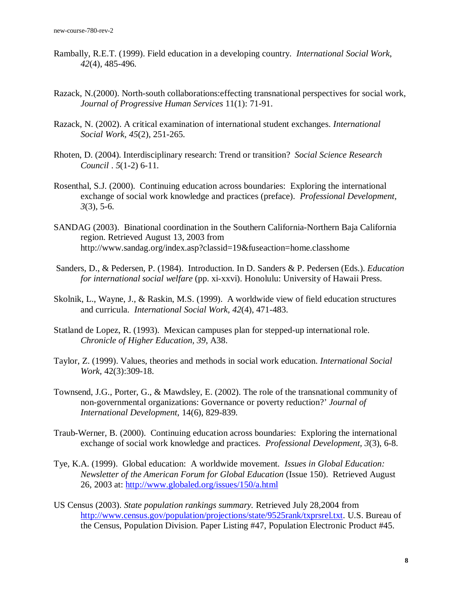- Rambally, R.E.T. (1999). Field education in a developing country. *International Social Work*, *42*(4), 485-496.
- Razack, N.(2000). North-south collaborations:effecting transnational perspectives for social work, *Journal of Progressive Human Services* 11(1): 71-91.
- Razack, N. (2002). A critical examination of international student exchanges. *International Social Work, 45*(2), 251-265.
- Rhoten, D. (2004). Interdisciplinary research: Trend or transition? *Social Science Research Council* . *5*(1-2) 6-11.
- Rosenthal, S.J. (2000). Continuing education across boundaries: Exploring the international exchange of social work knowledge and practices (preface). *Professional Development, 3*(3), 5-6.
- SANDAG (2003). Binational coordination in the Southern California-Northern Baja California region. Retrieved August 13, 2003 from http://www.sandag.org/index.asp?classid=19&fuseaction=home.classhome
- Sanders, D., & Pedersen, P. (1984). Introduction. In D. Sanders & P. Pedersen (Eds.). *Education for international social welfare* (pp. xi-xxvi). Honolulu: University of Hawaii Press.
- Skolnik, L., Wayne, J., & Raskin, M.S. (1999). A worldwide view of field education structures and curricula. *International Social Work, 42*(4), 471-483.
- Statland de Lopez, R. (1993). Mexican campuses plan for stepped-up international role. *Chronicle of Higher Education, 39*, A38.
- Taylor, Z. (1999). Values, theories and methods in social work education. *International Social Work,* 42(3):309-18.
- Townsend, J.G., Porter, G., & Mawdsley, E. (2002). The role of the transnational community of non-governmental organizations: Governance or poverty reduction?' *Journal of International Development,* 14(6), 829-839.
- Traub-Werner, B. (2000). Continuing education across boundaries: Exploring the international exchange of social work knowledge and practices. *Professional Development, 3*(3), 6-8.
- Tye, K.A. (1999). Global education: A worldwide movement*. Issues in Global Education: Newsletter of the American Forum for Global Education* (Issue 150). Retrieved August 26, 2003 at: http://www.globaled.org/issues/150/a.html
- US Census (2003). *State population rankings summary.* Retrieved July 28,2004 from http://www.census.gov/population/projections/state/9525rank/txprsrel.txt. U.S. Bureau of the Census, Population Division. Paper Listing #47, Population Electronic Product #45.